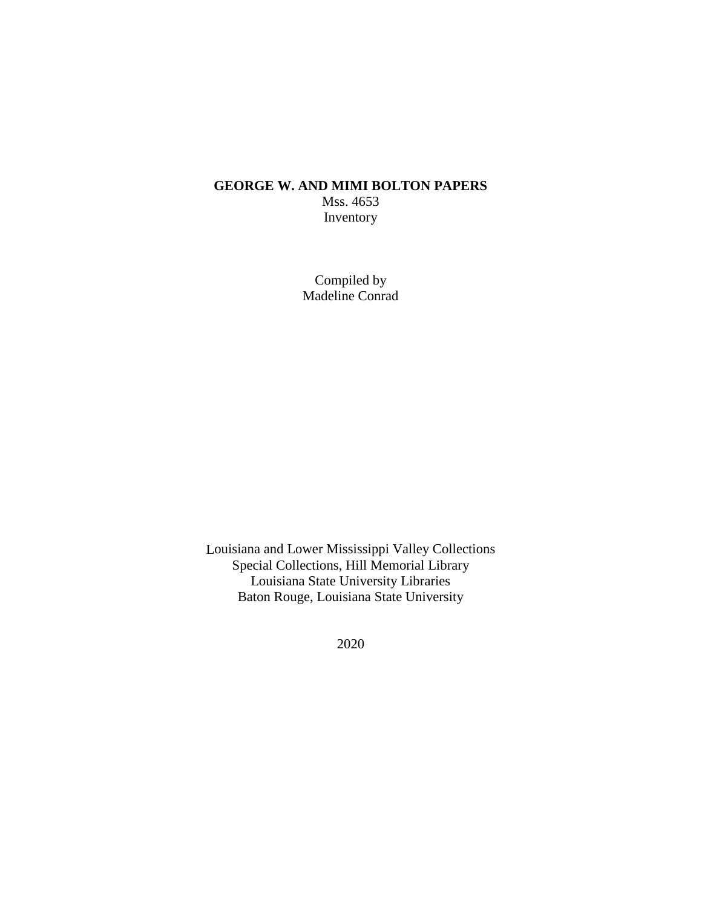## **GEORGE W. AND MIMI BOLTON PAPERS** Mss. 4653 Inventory

Compiled by Madeline Conrad

Louisiana and Lower Mississippi Valley Collections Special Collections, Hill Memorial Library Louisiana State University Libraries Baton Rouge, Louisiana State University

2020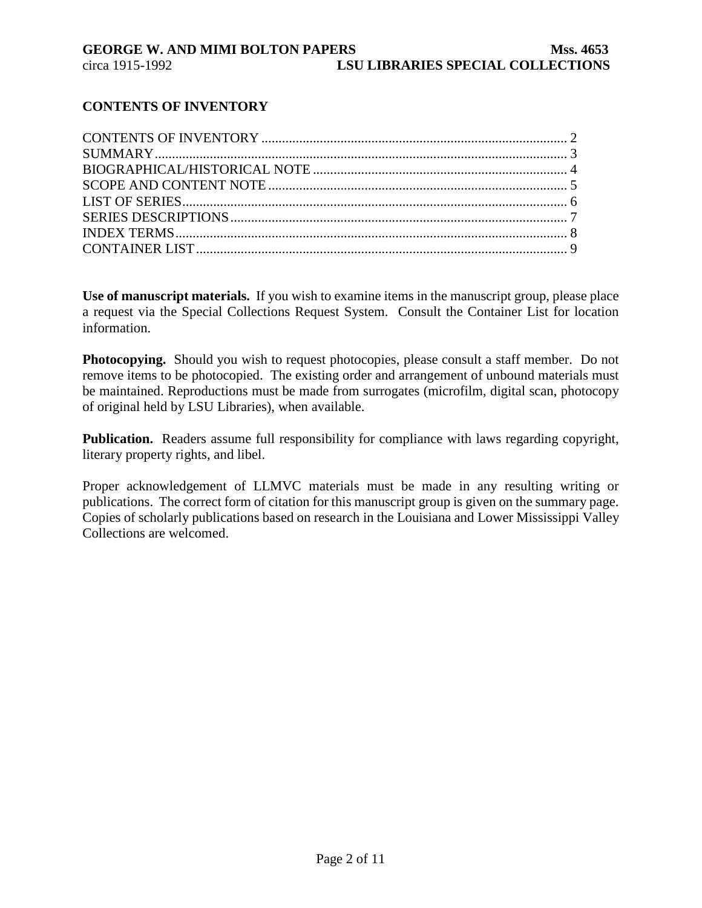# **CONTENTS OF INVENTORY**

**Use of manuscript materials.** If you wish to examine items in the manuscript group, please place a request via the Special Collections Request System. Consult the Container List for location information.

**Photocopying.** Should you wish to request photocopies, please consult a staff member. Do not remove items to be photocopied. The existing order and arrangement of unbound materials must be maintained. Reproductions must be made from surrogates (microfilm, digital scan, photocopy of original held by LSU Libraries), when available.

**Publication.** Readers assume full responsibility for compliance with laws regarding copyright, literary property rights, and libel.

Proper acknowledgement of LLMVC materials must be made in any resulting writing or publications. The correct form of citation for this manuscript group is given on the summary page. Copies of scholarly publications based on research in the Louisiana and Lower Mississippi Valley Collections are welcomed.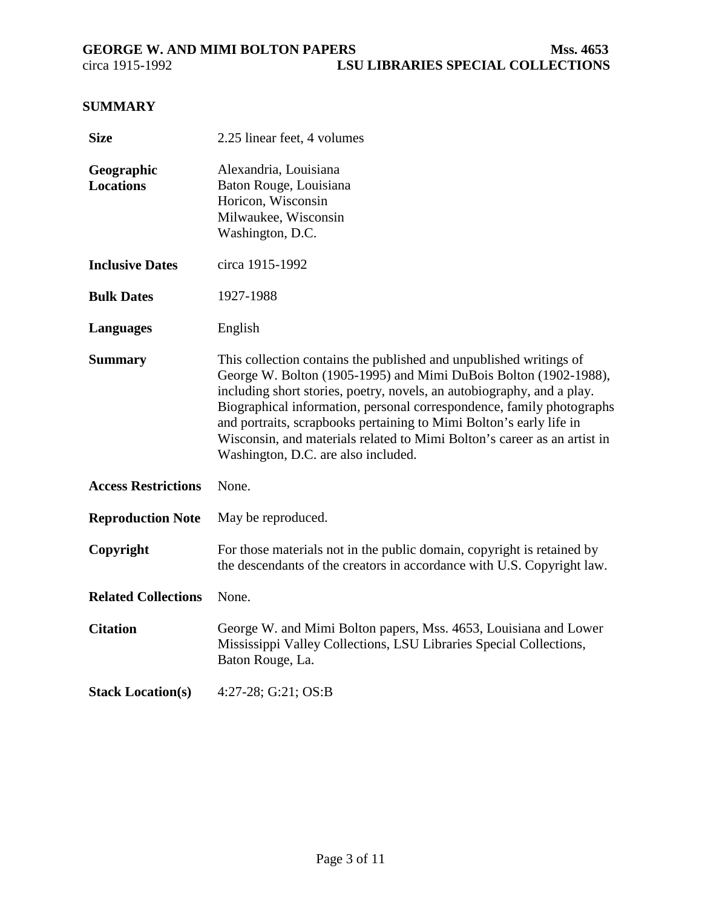# <span id="page-2-0"></span>**SUMMARY**

| <b>Size</b>                    | 2.25 linear feet, 4 volumes                                                                                                                                                                                                                                                                                                                                                                                                                                                         |  |  |  |
|--------------------------------|-------------------------------------------------------------------------------------------------------------------------------------------------------------------------------------------------------------------------------------------------------------------------------------------------------------------------------------------------------------------------------------------------------------------------------------------------------------------------------------|--|--|--|
| Geographic<br><b>Locations</b> | Alexandria, Louisiana<br>Baton Rouge, Louisiana<br>Horicon, Wisconsin<br>Milwaukee, Wisconsin<br>Washington, D.C.                                                                                                                                                                                                                                                                                                                                                                   |  |  |  |
| <b>Inclusive Dates</b>         | circa 1915-1992                                                                                                                                                                                                                                                                                                                                                                                                                                                                     |  |  |  |
| <b>Bulk Dates</b>              | 1927-1988                                                                                                                                                                                                                                                                                                                                                                                                                                                                           |  |  |  |
| <b>Languages</b>               | English                                                                                                                                                                                                                                                                                                                                                                                                                                                                             |  |  |  |
| <b>Summary</b>                 | This collection contains the published and unpublished writings of<br>George W. Bolton (1905-1995) and Mimi DuBois Bolton (1902-1988),<br>including short stories, poetry, novels, an autobiography, and a play.<br>Biographical information, personal correspondence, family photographs<br>and portraits, scrapbooks pertaining to Mimi Bolton's early life in<br>Wisconsin, and materials related to Mimi Bolton's career as an artist in<br>Washington, D.C. are also included. |  |  |  |
| <b>Access Restrictions</b>     | None.                                                                                                                                                                                                                                                                                                                                                                                                                                                                               |  |  |  |
| <b>Reproduction Note</b>       | May be reproduced.                                                                                                                                                                                                                                                                                                                                                                                                                                                                  |  |  |  |
| Copyright                      | For those materials not in the public domain, copyright is retained by<br>the descendants of the creators in accordance with U.S. Copyright law.                                                                                                                                                                                                                                                                                                                                    |  |  |  |
| <b>Related Collections</b>     | None.                                                                                                                                                                                                                                                                                                                                                                                                                                                                               |  |  |  |
| <b>Citation</b>                | George W. and Mimi Bolton papers, Mss. 4653, Louisiana and Lower<br>Mississippi Valley Collections, LSU Libraries Special Collections,<br>Baton Rouge, La.                                                                                                                                                                                                                                                                                                                          |  |  |  |
| <b>Stack Location(s)</b>       | 4:27-28; G:21; OS:B                                                                                                                                                                                                                                                                                                                                                                                                                                                                 |  |  |  |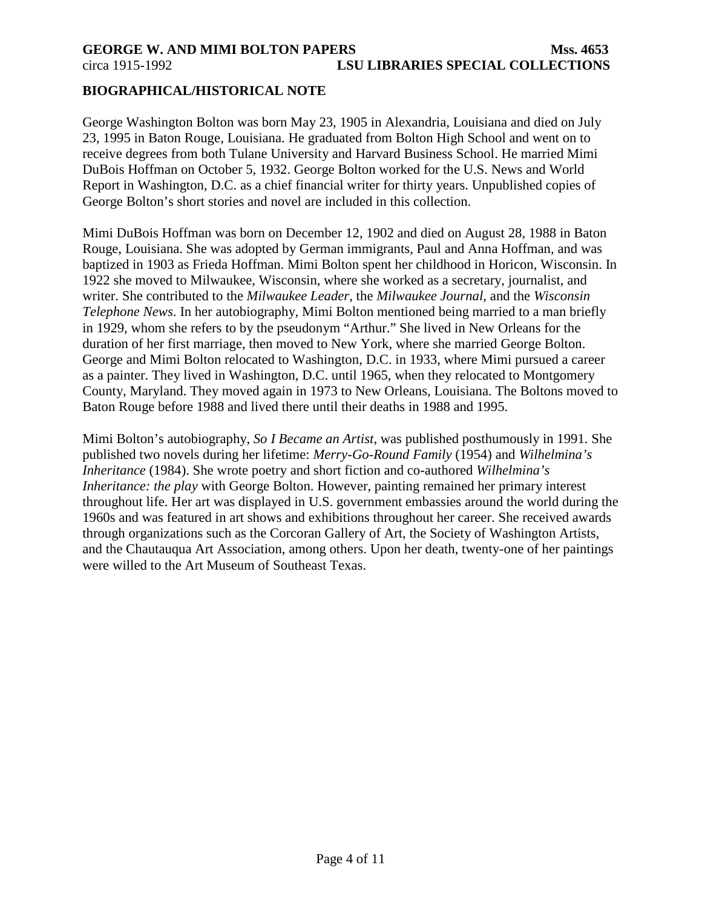### <span id="page-3-0"></span>**GEORGE W. AND MIMI BOLTON PAPERS MSS. 4653** circa 1915-1992 **LSU LIBRARIES SPECIAL COLLECTIONS**

### **BIOGRAPHICAL/HISTORICAL NOTE**

George Washington Bolton was born May 23, 1905 in Alexandria, Louisiana and died on July 23, 1995 in Baton Rouge, Louisiana. He graduated from Bolton High School and went on to receive degrees from both Tulane University and Harvard Business School. He married Mimi DuBois Hoffman on October 5, 1932. George Bolton worked for the U.S. News and World Report in Washington, D.C. as a chief financial writer for thirty years. Unpublished copies of George Bolton's short stories and novel are included in this collection.

Mimi DuBois Hoffman was born on December 12, 1902 and died on August 28, 1988 in Baton Rouge, Louisiana. She was adopted by German immigrants, Paul and Anna Hoffman, and was baptized in 1903 as Frieda Hoffman. Mimi Bolton spent her childhood in Horicon, Wisconsin. In 1922 she moved to Milwaukee, Wisconsin, where she worked as a secretary, journalist, and writer. She contributed to the *Milwaukee Leader*, the *Milwaukee Journal*, and the *Wisconsin Telephone News*. In her autobiography, Mimi Bolton mentioned being married to a man briefly in 1929, whom she refers to by the pseudonym "Arthur." She lived in New Orleans for the duration of her first marriage, then moved to New York, where she married George Bolton. George and Mimi Bolton relocated to Washington, D.C. in 1933, where Mimi pursued a career as a painter. They lived in Washington, D.C. until 1965, when they relocated to Montgomery County, Maryland. They moved again in 1973 to New Orleans, Louisiana. The Boltons moved to Baton Rouge before 1988 and lived there until their deaths in 1988 and 1995.

Mimi Bolton's autobiography, *So I Became an Artist*, was published posthumously in 1991. She published two novels during her lifetime: *Merry-Go-Round Family* (1954) and *Wilhelmina's Inheritance* (1984). She wrote poetry and short fiction and co-authored *Wilhelmina's Inheritance: the play* with George Bolton. However, painting remained her primary interest throughout life. Her art was displayed in U.S. government embassies around the world during the 1960s and was featured in art shows and exhibitions throughout her career. She received awards through organizations such as the Corcoran Gallery of Art, the Society of Washington Artists, and the Chautauqua Art Association, among others. Upon her death, twenty-one of her paintings were willed to the Art Museum of Southeast Texas.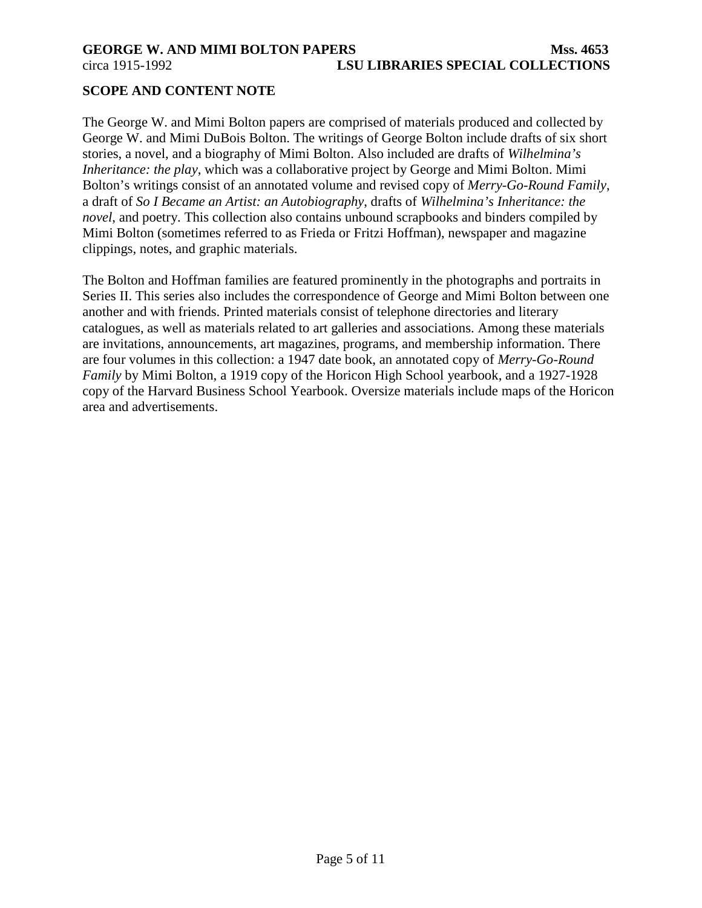<span id="page-4-0"></span>

# **SCOPE AND CONTENT NOTE**

The George W. and Mimi Bolton papers are comprised of materials produced and collected by George W. and Mimi DuBois Bolton. The writings of George Bolton include drafts of six short stories, a novel, and a biography of Mimi Bolton. Also included are drafts of *Wilhelmina's Inheritance: the play*, which was a collaborative project by George and Mimi Bolton. Mimi Bolton's writings consist of an annotated volume and revised copy of *Merry-Go-Round Family*, a draft of *So I Became an Artist: an Autobiography*, drafts of *Wilhelmina's Inheritance: the novel*, and poetry. This collection also contains unbound scrapbooks and binders compiled by Mimi Bolton (sometimes referred to as Frieda or Fritzi Hoffman), newspaper and magazine clippings, notes, and graphic materials.

The Bolton and Hoffman families are featured prominently in the photographs and portraits in Series II. This series also includes the correspondence of George and Mimi Bolton between one another and with friends. Printed materials consist of telephone directories and literary catalogues, as well as materials related to art galleries and associations. Among these materials are invitations, announcements, art magazines, programs, and membership information. There are four volumes in this collection: a 1947 date book, an annotated copy of *Merry-Go-Round Family* by Mimi Bolton, a 1919 copy of the Horicon High School yearbook, and a 1927-1928 copy of the Harvard Business School Yearbook. Oversize materials include maps of the Horicon area and advertisements.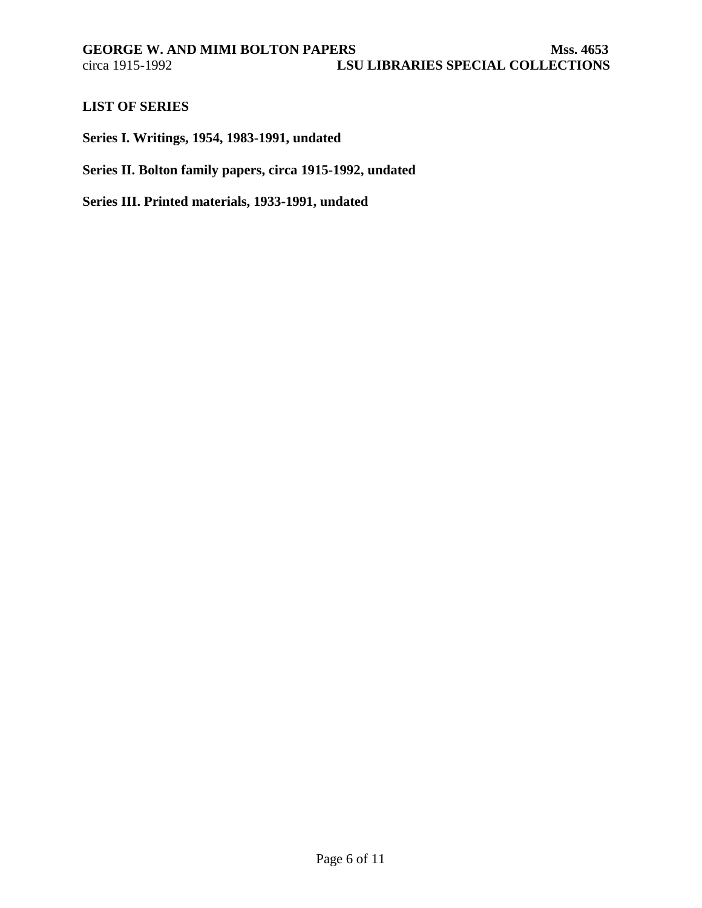## <span id="page-5-0"></span>**LIST OF SERIES**

**Series I. Writings, 1954, 1983-1991, undated**

**Series II. Bolton family papers, circa 1915-1992, undated**

**Series III. Printed materials, 1933-1991, undated**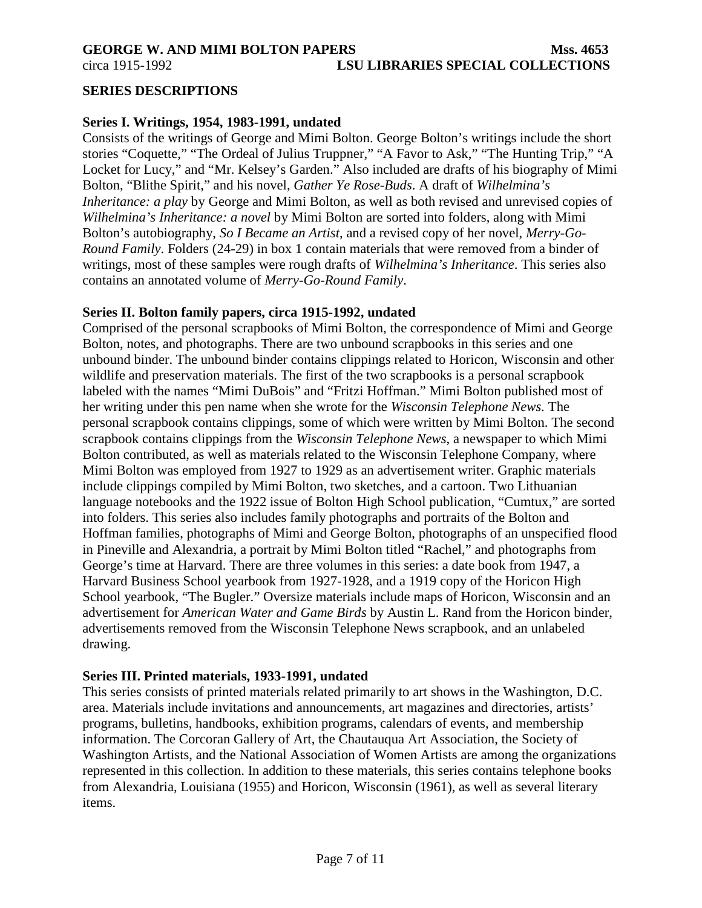<span id="page-6-0"></span>circa 1915-1992 **LSU LIBRARIES SPECIAL COLLECTIONS**

#### **SERIES DESCRIPTIONS**

#### **Series I. Writings, 1954, 1983-1991, undated**

Consists of the writings of George and Mimi Bolton. George Bolton's writings include the short stories "Coquette," "The Ordeal of Julius Truppner," "A Favor to Ask," "The Hunting Trip," "A Locket for Lucy," and "Mr. Kelsey's Garden." Also included are drafts of his biography of Mimi Bolton, "Blithe Spirit," and his novel, *Gather Ye Rose-Buds*. A draft of *Wilhelmina's Inheritance: a play* by George and Mimi Bolton, as well as both revised and unrevised copies of *Wilhelmina's Inheritance: a novel* by Mimi Bolton are sorted into folders, along with Mimi Bolton's autobiography, *So I Became an Artist*, and a revised copy of her novel, *Merry-Go-Round Family*. Folders (24-29) in box 1 contain materials that were removed from a binder of writings, most of these samples were rough drafts of *Wilhelmina's Inheritance*. This series also contains an annotated volume of *Merry-Go-Round Family*.

#### **Series II. Bolton family papers, circa 1915-1992, undated**

Comprised of the personal scrapbooks of Mimi Bolton, the correspondence of Mimi and George Bolton, notes, and photographs. There are two unbound scrapbooks in this series and one unbound binder. The unbound binder contains clippings related to Horicon, Wisconsin and other wildlife and preservation materials. The first of the two scrapbooks is a personal scrapbook labeled with the names "Mimi DuBois" and "Fritzi Hoffman." Mimi Bolton published most of her writing under this pen name when she wrote for the *Wisconsin Telephone News.* The personal scrapbook contains clippings, some of which were written by Mimi Bolton. The second scrapbook contains clippings from the *Wisconsin Telephone News*, a newspaper to which Mimi Bolton contributed, as well as materials related to the Wisconsin Telephone Company, where Mimi Bolton was employed from 1927 to 1929 as an advertisement writer. Graphic materials include clippings compiled by Mimi Bolton, two sketches, and a cartoon. Two Lithuanian language notebooks and the 1922 issue of Bolton High School publication, "Cumtux," are sorted into folders. This series also includes family photographs and portraits of the Bolton and Hoffman families, photographs of Mimi and George Bolton, photographs of an unspecified flood in Pineville and Alexandria, a portrait by Mimi Bolton titled "Rachel," and photographs from George's time at Harvard. There are three volumes in this series: a date book from 1947, a Harvard Business School yearbook from 1927-1928, and a 1919 copy of the Horicon High School yearbook, "The Bugler." Oversize materials include maps of Horicon, Wisconsin and an advertisement for *American Water and Game Birds* by Austin L. Rand from the Horicon binder, advertisements removed from the Wisconsin Telephone News scrapbook, and an unlabeled drawing.

### **Series III. Printed materials, 1933-1991, undated**

This series consists of printed materials related primarily to art shows in the Washington, D.C. area. Materials include invitations and announcements, art magazines and directories, artists' programs, bulletins, handbooks, exhibition programs, calendars of events, and membership information. The Corcoran Gallery of Art, the Chautauqua Art Association, the Society of Washington Artists, and the National Association of Women Artists are among the organizations represented in this collection. In addition to these materials, this series contains telephone books from Alexandria, Louisiana (1955) and Horicon, Wisconsin (1961), as well as several literary items.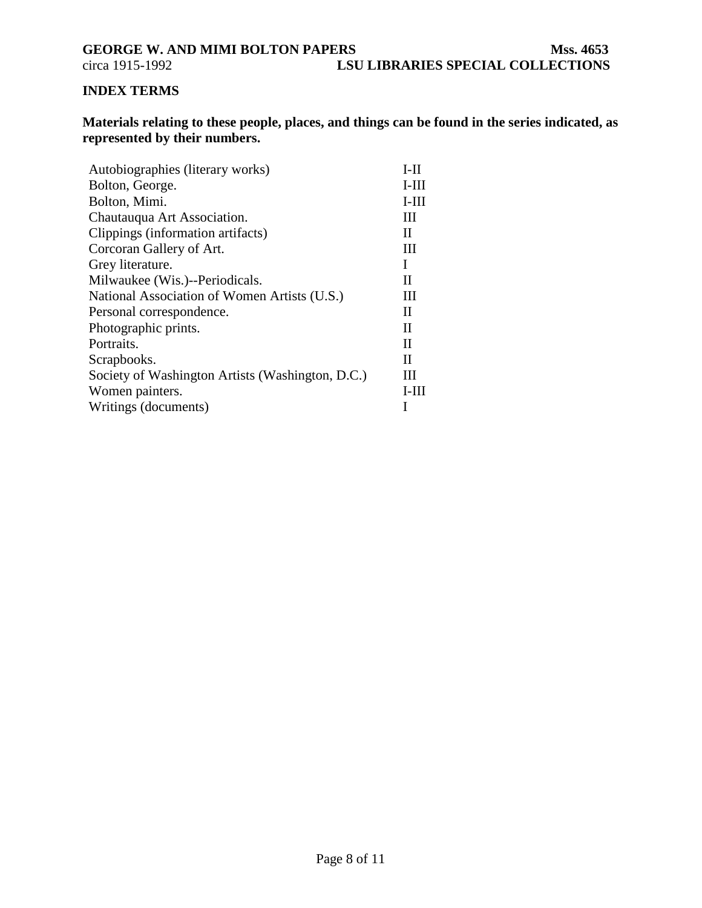**LSU LIBRARIES SPECIAL COLLECTIONS** 

# <span id="page-7-0"></span>**INDEX TERMS**

**Materials relating to these people, places, and things can be found in the series indicated, as represented by their numbers.**

| Autobiographies (literary works)                 | $I-II$       |
|--------------------------------------------------|--------------|
| Bolton, George.                                  | $I-III$      |
| Bolton, Mimi.                                    | $I-III$      |
| Chautauqua Art Association.                      | Ш            |
| Clippings (information artifacts)                | $\mathbf{I}$ |
| Corcoran Gallery of Art.                         | Ш            |
| Grey literature.                                 | I            |
| Milwaukee (Wis.)--Periodicals.                   | Н            |
| National Association of Women Artists (U.S.)     | Ш            |
| Personal correspondence.                         | $\mathbf{I}$ |
| Photographic prints.                             | $\mathbf{I}$ |
| Portraits.                                       | $_{\rm II}$  |
| Scrapbooks.                                      | $_{\rm II}$  |
| Society of Washington Artists (Washington, D.C.) | Ш            |
| Women painters.                                  | $I-III$      |
| Writings (documents)                             |              |
|                                                  |              |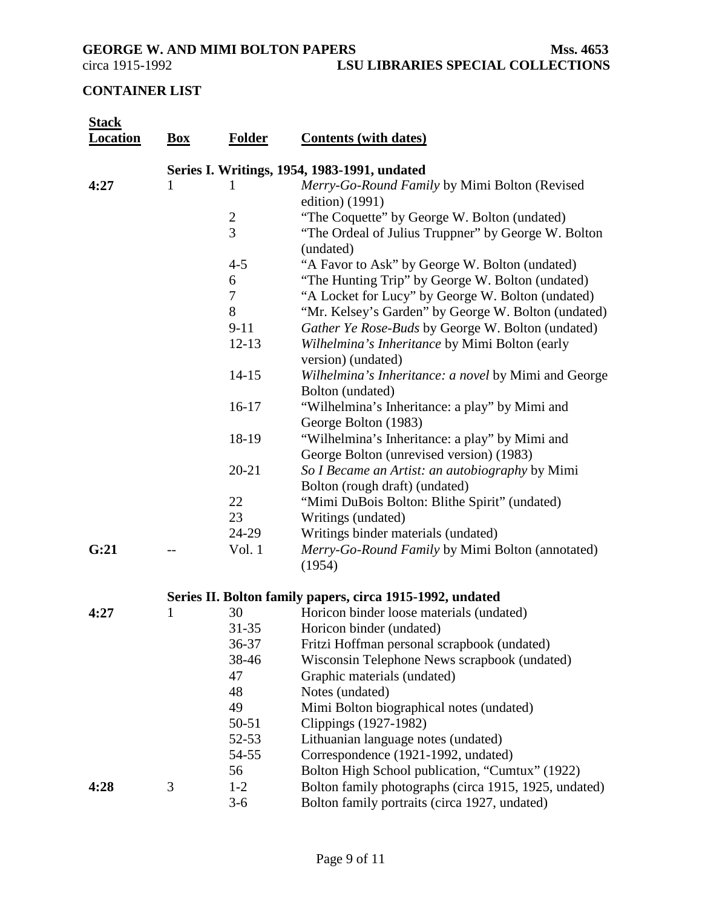<span id="page-8-0"></span>GEORGE W. AND MIMI BOLTON PAPERS<br>circa 1915-1992 LSU LIBRARIES SPECIAL COLLECTIONS **LSU LIBRARIES SPECIAL COLLECTIONS** 

# **CONTAINER LIST**

| <b>Stack</b><br><b>Location</b> | <b>Box</b>                                   | <b>Folder</b>  | <b>Contents (with dates)</b>                                                               |  |
|---------------------------------|----------------------------------------------|----------------|--------------------------------------------------------------------------------------------|--|
|                                 | Series I. Writings, 1954, 1983-1991, undated |                |                                                                                            |  |
| 4:27                            | 1                                            | 1              | Merry-Go-Round Family by Mimi Bolton (Revised                                              |  |
|                                 |                                              |                | edition) (1991)                                                                            |  |
|                                 |                                              | $\overline{c}$ | "The Coquette" by George W. Bolton (undated)                                               |  |
|                                 |                                              | $\overline{3}$ | "The Ordeal of Julius Truppner" by George W. Bolton<br>(undated)                           |  |
|                                 |                                              | $4 - 5$        | "A Favor to Ask" by George W. Bolton (undated)                                             |  |
|                                 |                                              | 6              | "The Hunting Trip" by George W. Bolton (undated)                                           |  |
|                                 |                                              | $\tau$         | "A Locket for Lucy" by George W. Bolton (undated)                                          |  |
|                                 |                                              | 8              | "Mr. Kelsey's Garden" by George W. Bolton (undated)                                        |  |
|                                 |                                              | $9 - 11$       | Gather Ye Rose-Buds by George W. Bolton (undated)                                          |  |
|                                 |                                              | $12 - 13$      | Wilhelmina's Inheritance by Mimi Bolton (early<br>version) (undated)                       |  |
|                                 |                                              | $14 - 15$      | Wilhelmina's Inheritance: a novel by Mimi and George<br>Bolton (undated)                   |  |
|                                 |                                              | $16-17$        | "Wilhelmina's Inheritance: a play" by Mimi and<br>George Bolton (1983)                     |  |
|                                 |                                              | 18-19          | "Wilhelmina's Inheritance: a play" by Mimi and<br>George Bolton (unrevised version) (1983) |  |
|                                 |                                              | $20 - 21$      | So I Became an Artist: an autobiography by Mimi<br>Bolton (rough draft) (undated)          |  |
|                                 |                                              | 22             | "Mimi DuBois Bolton: Blithe Spirit" (undated)                                              |  |
|                                 |                                              | 23             | Writings (undated)                                                                         |  |
|                                 |                                              | 24-29          | Writings binder materials (undated)                                                        |  |
| G:21                            |                                              | Vol. 1         | Merry-Go-Round Family by Mimi Bolton (annotated)<br>(1954)                                 |  |
|                                 |                                              |                | Series II. Bolton family papers, circa 1915-1992, undated                                  |  |
| 4:27                            | 1                                            | 30             | Horicon binder loose materials (undated)                                                   |  |
|                                 |                                              | $31 - 35$      | Horicon binder (undated)                                                                   |  |
|                                 |                                              | 36-37          | Fritzi Hoffman personal scrapbook (undated)                                                |  |
|                                 |                                              | 38-46          | Wisconsin Telephone News scrapbook (undated)                                               |  |
|                                 |                                              | 47             | Graphic materials (undated)                                                                |  |
|                                 |                                              | 48             | Notes (undated)                                                                            |  |
|                                 |                                              | 49             | Mimi Bolton biographical notes (undated)                                                   |  |
|                                 |                                              | $50 - 51$      | Clippings (1927-1982)                                                                      |  |
|                                 |                                              | $52 - 53$      | Lithuanian language notes (undated)                                                        |  |
|                                 |                                              | 54-55          | Correspondence (1921-1992, undated)                                                        |  |
|                                 |                                              | 56             | Bolton High School publication, "Cumtux" (1922)                                            |  |
| 4:28                            | 3                                            | $1 - 2$        | Bolton family photographs (circa 1915, 1925, undated)                                      |  |
|                                 |                                              | $3 - 6$        | Bolton family portraits (circa 1927, undated)                                              |  |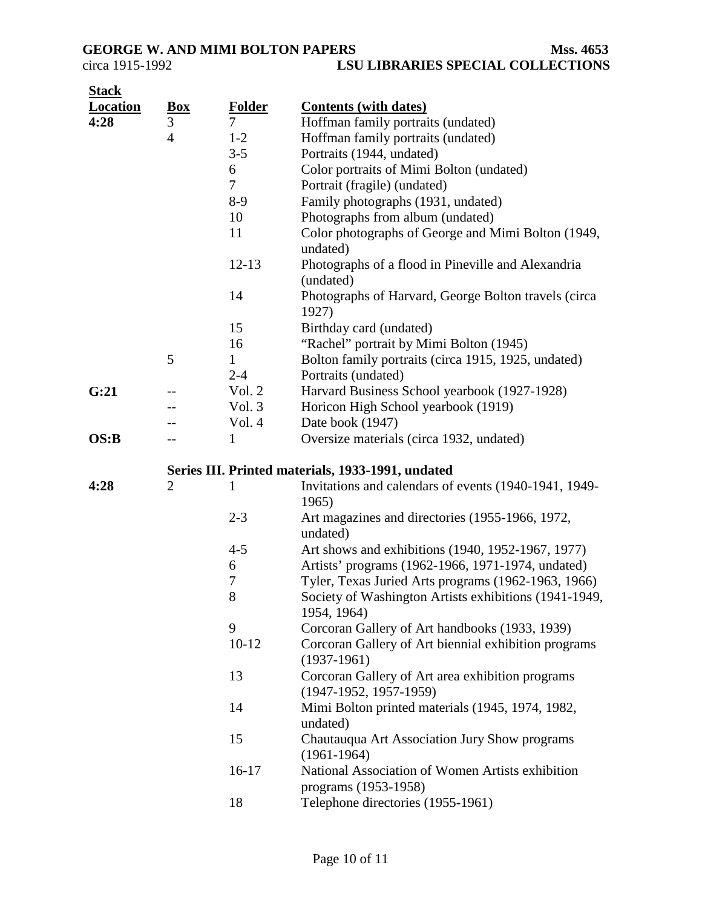| <b>Stack</b>    |                |                          |                                                                              |
|-----------------|----------------|--------------------------|------------------------------------------------------------------------------|
| <b>Location</b> | <u>Box</u>     | <b>Folder</b>            | <b>Contents (with dates)</b>                                                 |
| 4:28            | 3              | $\overline{7}$           | Hoffman family portraits (undated)                                           |
|                 | $\overline{4}$ | $1 - 2$                  | Hoffman family portraits (undated)                                           |
|                 |                | $3 - 5$                  | Portraits (1944, undated)                                                    |
|                 |                | 6                        | Color portraits of Mimi Bolton (undated)                                     |
|                 |                | $\overline{\mathcal{L}}$ | Portrait (fragile) (undated)                                                 |
|                 |                | $8-9$                    | Family photographs (1931, undated)                                           |
|                 |                | 10                       | Photographs from album (undated)                                             |
|                 |                | 11                       | Color photographs of George and Mimi Bolton (1949,<br>undated)               |
|                 |                | $12 - 13$                | Photographs of a flood in Pineville and Alexandria<br>(undated)              |
|                 |                | 14                       | Photographs of Harvard, George Bolton travels (circa<br>1927)                |
|                 |                | 15                       | Birthday card (undated)                                                      |
|                 |                | 16                       | "Rachel" portrait by Mimi Bolton (1945)                                      |
|                 | 5              | 1                        | Bolton family portraits (circa 1915, 1925, undated)                          |
|                 |                | $2 - 4$                  | Portraits (undated)                                                          |
| G:21            |                | Vol. 2                   | Harvard Business School yearbook (1927-1928)                                 |
|                 |                | Vol. 3                   | Horicon High School yearbook (1919)                                          |
|                 |                | Vol. 4                   | Date book (1947)                                                             |
| OS:B            |                | 1                        | Oversize materials (circa 1932, undated)                                     |
|                 |                |                          | Series III. Printed materials, 1933-1991, undated                            |
| 4:28            | $\overline{2}$ | 1                        | Invitations and calendars of events (1940-1941, 1949-<br>1965)               |
|                 |                | $2 - 3$                  | Art magazines and directories (1955-1966, 1972,<br>undated)                  |
|                 |                | $4 - 5$                  | Art shows and exhibitions (1940, 1952-1967, 1977)                            |
|                 |                | 6                        | Artists' programs (1962-1966, 1971-1974, undated)                            |
|                 |                | 7                        | Tyler, Texas Juried Arts programs (1962-1963, 1966)                          |
|                 |                | 8                        | Society of Washington Artists exhibitions (1941-1949,<br>1954, 1964)         |
|                 |                | 9                        | Corcoran Gallery of Art handbooks (1933, 1939)                               |
|                 |                | $10-12$                  | Corcoran Gallery of Art biennial exhibition programs<br>$(1937-1961)$        |
|                 |                | 13                       | Corcoran Gallery of Art area exhibition programs<br>$(1947-1952, 1957-1959)$ |
|                 |                | 14                       | Mimi Bolton printed materials (1945, 1974, 1982,<br>undated)                 |
|                 |                | 15                       | Chautauqua Art Association Jury Show programs<br>$(1961 - 1964)$             |
|                 |                | $16-17$                  | National Association of Women Artists exhibition<br>programs (1953-1958)     |
|                 |                | 18                       | Telephone directories (1955-1961)                                            |